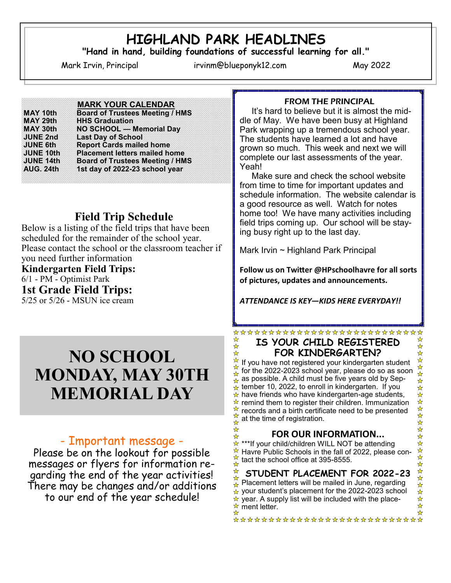# **HIGHLAND PARK HEADLINES**

**"Hand in hand, building foundations of successful learning for all."**

Mark Irvin, Principal irvinm@blueponyk12.com May 2022

♣ ☆

☆

#### **MARK YOUR CALENDAR**

| <b>MAY 10th</b>                                            | <b>Board of Trustees Meeting / HMS</b>                                                                            |                  |                                        |
|------------------------------------------------------------|-------------------------------------------------------------------------------------------------------------------|------------------|----------------------------------------|
| MAY 29th<br>MAY 30th<br><b>JUNE 2nd</b><br><b>JUNE 6th</b> | <b>HHS Graduation</b><br>NO SCHOOL - Memorial Day<br><b>Last Day of School</b><br><b>Report Cards mailed home</b> |                  |                                        |
|                                                            |                                                                                                                   | <b>JUNE 10th</b> | <b>Placement letters mailed home</b>   |
|                                                            |                                                                                                                   | <b>JUNE 14th</b> | <b>Board of Trustees Meeting / HMS</b> |
|                                                            |                                                                                                                   | <b>AUG. 24th</b> | 1st day of 2022-23 school year         |
|                                                            |                                                                                                                   |                  |                                        |

## **Field Trip Schedule**

Below is a listing of the field trips that have been scheduled for the remainder of the school year. Please contact the school or the classroom teacher if you need further information **Kindergarten Field Trips:** 6/1 - PM - Optimist Park **1st Grade Field Trips:**

5/25 or 5/26 - MSUN ice cream

# **NO SCHOOL MONDAY, MAY 30TH MEMORIAL DAY**

## - Important message -

Please be on the lookout for possible messages or flyers for information regarding the end of the year activities! There may be changes and/or additions to our end of the year schedule!

#### FROM THE PRINCIPAL

 It's hard to believe but it is almost the middle of May. We have been busy at Highland Park wrapping up a tremendous school year. The students have learned a lot and have grown so much. This week and next we will complete our last assessments of the year. Yeah!

 Make sure and check the school website from time to time for important updates and schedule information. The website calendar is a good resource as well. Watch for notes home too! We have many activities including field trips coming up. Our school will be staying busy right up to the last day.

Mark Irvin ~ Highland Park Principal

**Follow us on Twitter @HPschoolhavre for all sorts of pictures, updates and announcements.**

*ATTENDANCE IS KEY—KIDS HERE EVERYDAY!!*

#### \*\*\*\*\*\*\*\*\*\*\*\*\*\*\*\*\*\*\*\*\*\*\*\* **IS YOUR CHILD REGISTERED FOR KINDERGARTEN?**

☆ If you have not registered your kindergarten student for the 2022-2023 school year, please do so as soon ☆ as possible. A child must be five years old by Sep-☆  $\star$  tember 10, 2022, to enroll in kindergarten. If you  $\star$  have friends who have kindergarten-age students,  $\star$  remind them to register their children. Immunization records and a birth certificate need to be presented at the time of registration. ♣

#### **FOR OUR INFORMATION...**

☆ \*\*\*If your child/children WILL NOT be attending ☆ Havre Public Schools in the fall of 2022, please contact the school office at 395-8555.

#### ☆ **STUDENT PLACEMENT FOR 2022-23** Placement letters will be mailed in June, regarding  $\rightarrow$

 $\hat{\star}$  your student's placement for the 2022-2023 school  $\star$  year. A supply list will be included with the place- $\star$  ment letter.

\*\*\*\*\*\*\*\*\*\*\*\*\*\*\*\*\*\*\*\*\*\*\*\*\*\*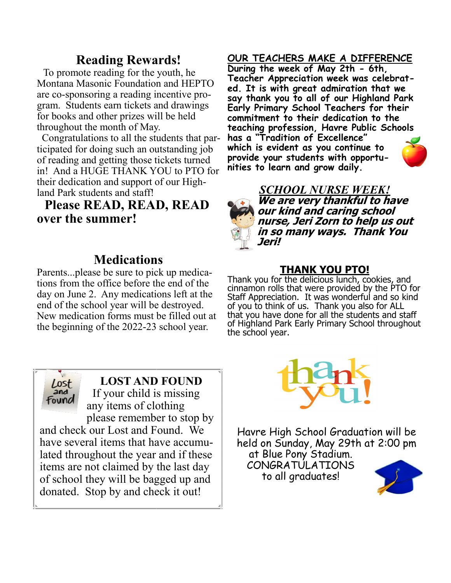## **Reading Rewards!**

 To promote reading for the youth, he Montana Masonic Foundation and HEPTO are co-sponsoring a reading incentive program. Students earn tickets and drawings for books and other prizes will be held throughout the month of May.

 Congratulations to all the students that participated for doing such an outstanding job of reading and getting those tickets turned in! And a HUGE THANK YOU to PTO for their dedication and support of our Highland Park students and staff!

## **Please READ, READ, READ over the summer!**

## **Medications**

Parents...please be sure to pick up medications from the office before the end of the day on June 2. Any medications left at the end of the school year will be destroyed. New medication forms must be filled out at the beginning of the 2022-23 school year.



**LOST AND FOUND**  If your child is missing any items of clothing

please remember to stop by and check our Lost and Found. We have several items that have accumulated throughout the year and if these items are not claimed by the last day of school they will be bagged up and donated. Stop by and check it out!

## **OUR TEACHERS MAKE A DIFFERENCE**

**During the week of May 2th - 6th, Teacher Appreciation week was celebrated. It is with great admiration that we say thank you to all of our Highland Park Early Primary School Teachers for their commitment to their dedication to the teaching profession, Havre Public Schools has a "Tradition of Excellence" which is evident as you continue to provide your students with opportunities to learn and grow daily.**



## **THANK YOU PTO!**

Thank you for the delicious lunch, cookies, and cinnamon rolls that were provided by the PTO for Staff Appreciation. It was wonderful and so kind of you to think of us. Thank you also for ALL that you have done for all the students and staff of Highland Park Early Primary School throughout the school year.



Havre High School Graduation will be held on Sunday, May 29th at 2:00 pm at Blue Pony Stadium. CONGRATULATIONS to all graduates!